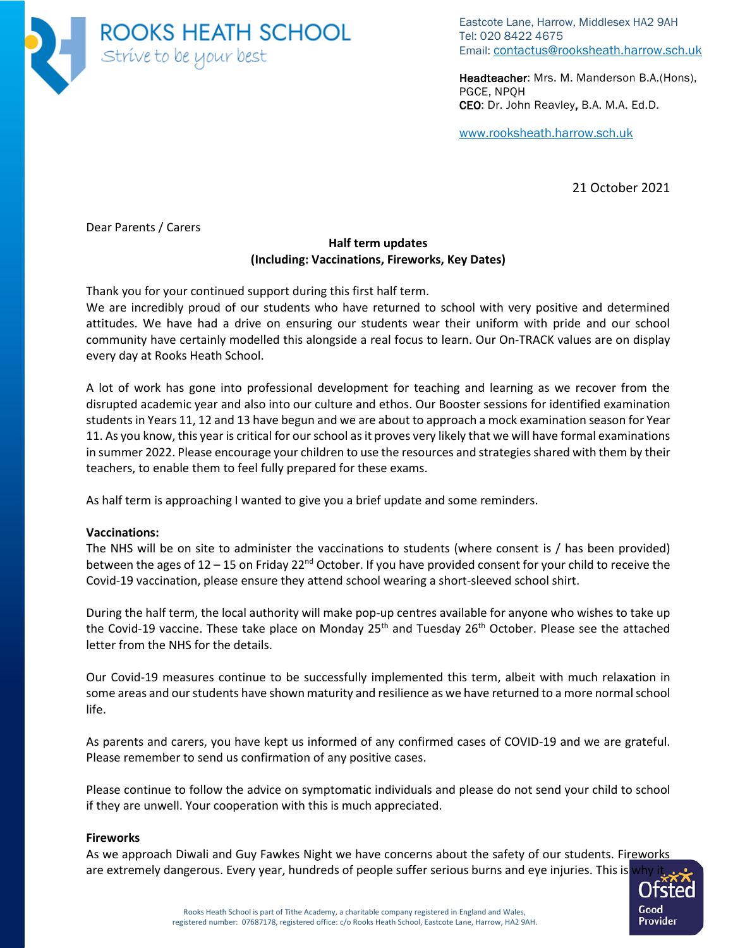

Eastcote Lane, Harrow, Middlesex HA2 9AH Tel: 020 8422 4675 Email: [contactus@rooksheath.harrow.sch.uk](mailto:contactus@rooksheath.harrow.sch.uk)

Headteacher: Mrs. M. Manderson B.A.(Hons), PGCE, NPQH CEO: Dr. John Reavley, B.A. M.A. Ed.D.

[www.rooksheath.harrow.sch.uk](http://www.rooksheath.harrow.sch.uk/)

21 October 2021

Dear Parents / Carers

# **Half term updates (Including: Vaccinations, Fireworks, Key Dates)**

Thank you for your continued support during this first half term.

We are incredibly proud of our students who have returned to school with very positive and determined attitudes. We have had a drive on ensuring our students wear their uniform with pride and our school community have certainly modelled this alongside a real focus to learn. Our On-TRACK values are on display every day at Rooks Heath School.

A lot of work has gone into professional development for teaching and learning as we recover from the disrupted academic year and also into our culture and ethos. Our Booster sessions for identified examination students in Years 11, 12 and 13 have begun and we are about to approach a mock examination season for Year 11. As you know, this year is critical for our school as it proves very likely that we will have formal examinations in summer 2022. Please encourage your children to use the resources and strategies shared with them by their teachers, to enable them to feel fully prepared for these exams.

As half term is approaching I wanted to give you a brief update and some reminders.

## **Vaccinations:**

The NHS will be on site to administer the vaccinations to students (where consent is / has been provided) between the ages of 12 – 15 on Friday 22<sup>nd</sup> October. If you have provided consent for your child to receive the Covid-19 vaccination, please ensure they attend school wearing a short-sleeved school shirt.

During the half term, the local authority will make pop-up centres available for anyone who wishes to take up the Covid-19 vaccine. These take place on Monday  $25<sup>th</sup>$  and Tuesday  $26<sup>th</sup>$  October. Please see the attached letter from the NHS for the details.

Our Covid-19 measures continue to be successfully implemented this term, albeit with much relaxation in some areas and our students have shown maturity and resilience as we have returned to a more normal school life.

As parents and carers, you have kept us informed of any confirmed cases of COVID-19 and we are grateful. Please remember to send us confirmation of any positive cases.

Please continue to follow the advice on symptomatic individuals and please do not send your child to school if they are unwell. Your cooperation with this is much appreciated.

### **Fireworks**

As we approach Diwali and Guy Fawkes Night we have concerns about the safety of our students. Fireworks are extremely dangerous. Every year, hundreds of people suffer serious burns and eye injuries. This is